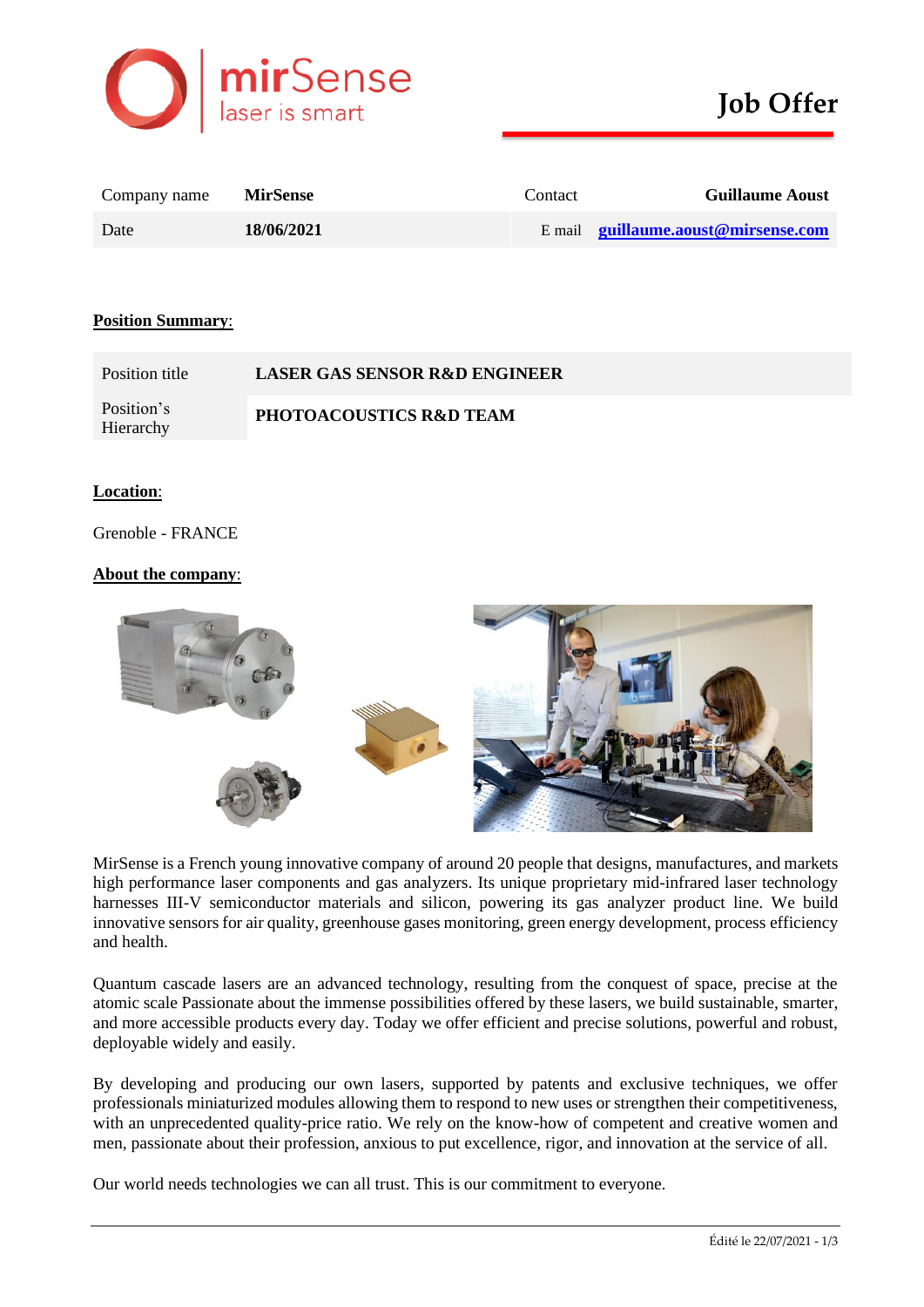

| Company name | <b>MirSense</b> | Contact | <b>Guillaume Aoust</b>                      |
|--------------|-----------------|---------|---------------------------------------------|
| Date         | 18/06/2021      |         | E mail <b>guillaume.aoust</b> @mirsense.com |

### **Position Summary**:

| Position title          | <b>LASER GAS SENSOR R&amp;D ENGINEER</b> |
|-------------------------|------------------------------------------|
| Position's<br>Hierarchy | PHOTOACOUSTICS R&D TEAM                  |

#### **Location**:

Grenoble - FRANCE

### **About the company**:



MirSense is a French young innovative company of around 20 people that designs, manufactures, and markets high performance laser components and gas analyzers. Its unique proprietary mid-infrared laser technology harnesses III-V semiconductor materials and silicon, powering its gas analyzer product line. We build innovative sensors for air quality, greenhouse gases monitoring, green energy development, process efficiency and health.

Quantum cascade lasers are an advanced technology, resulting from the conquest of space, precise at the atomic scale Passionate about the immense possibilities offered by these lasers, we build sustainable, smarter, and more accessible products every day. Today we offer efficient and precise solutions, powerful and robust, deployable widely and easily.

By developing and producing our own lasers, supported by patents and exclusive techniques, we offer professionals miniaturized modules allowing them to respond to new uses or strengthen their competitiveness, with an unprecedented quality-price ratio. We rely on the know-how of competent and creative women and men, passionate about their profession, anxious to put excellence, rigor, and innovation at the service of all.

Our world needs technologies we can all trust. This is our commitment to everyone.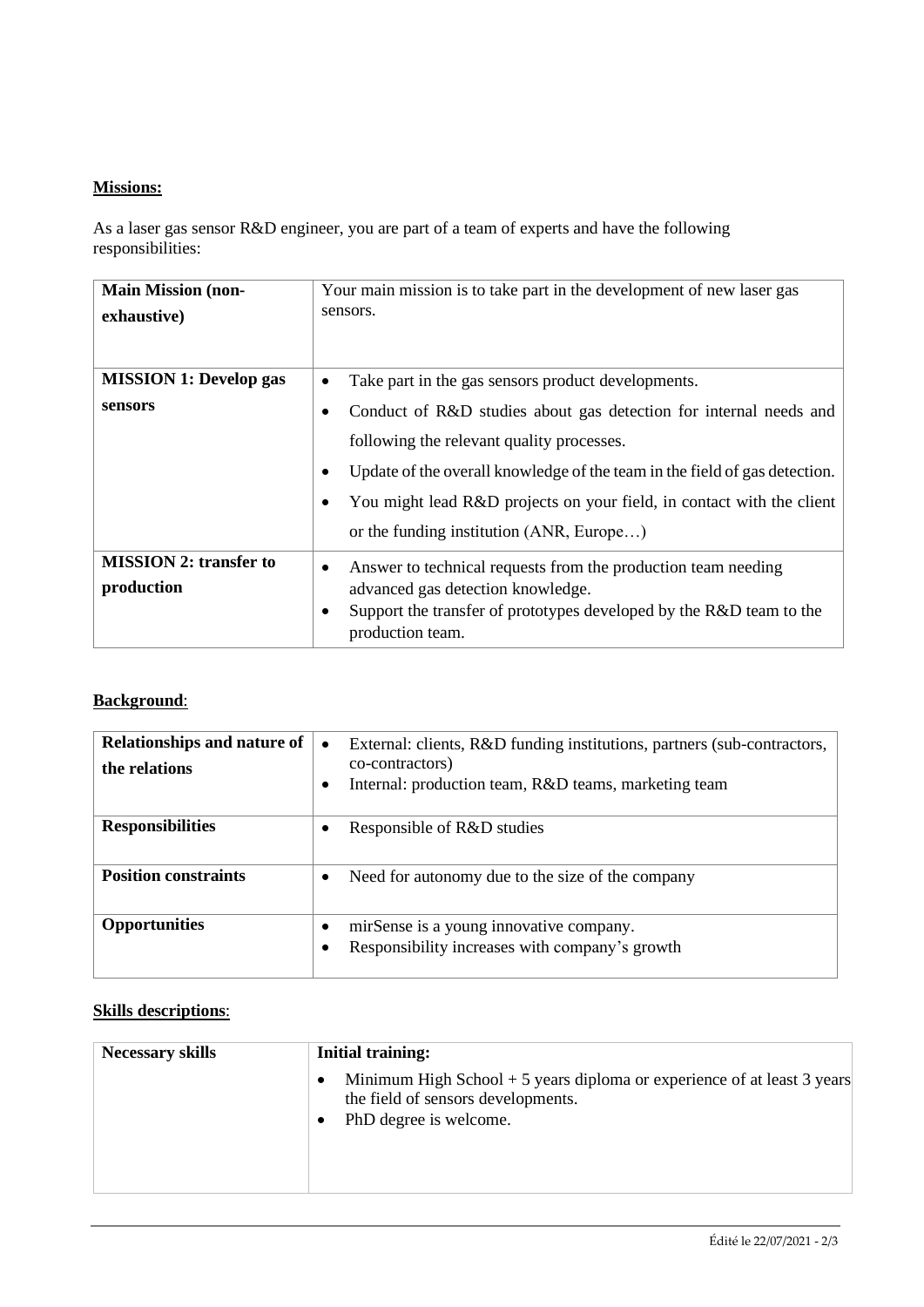# **Missions:**

As a laser gas sensor R&D engineer, you are part of a team of experts and have the following responsibilities:

| <b>Main Mission (non-</b><br>exhaustive)    | Your main mission is to take part in the development of new laser gas<br>sensors.                                                                                                                                                                                                                                 |
|---------------------------------------------|-------------------------------------------------------------------------------------------------------------------------------------------------------------------------------------------------------------------------------------------------------------------------------------------------------------------|
| <b>MISSION 1: Develop gas</b>               | Take part in the gas sensors product developments.<br>٠                                                                                                                                                                                                                                                           |
| sensors                                     | Conduct of R&D studies about gas detection for internal needs and<br>following the relevant quality processes.<br>Update of the overall knowledge of the team in the field of gas detection.<br>You might lead R&D projects on your field, in contact with the client<br>or the funding institution (ANR, Europe) |
| <b>MISSION 2: transfer to</b><br>production | Answer to technical requests from the production team needing<br>٠<br>advanced gas detection knowledge.<br>Support the transfer of prototypes developed by the R&D team to the<br>٠<br>production team.                                                                                                           |

## **Background**:

| Relationships and nature of<br>the relations | External: clients, R&D funding institutions, partners (sub-contractors,<br>$\bullet$<br>co-contractors)<br>Internal: production team, R&D teams, marketing team |
|----------------------------------------------|-----------------------------------------------------------------------------------------------------------------------------------------------------------------|
| <b>Responsibilities</b>                      | Responsible of R&D studies                                                                                                                                      |
| <b>Position constraints</b>                  | Need for autonomy due to the size of the company                                                                                                                |
| <b>Opportunities</b>                         | mirSense is a young innovative company.<br>Responsibility increases with company's growth                                                                       |

## **Skills descriptions**:

| <b>Necessary skills</b> | Initial training:                                                                                                                        |  |
|-------------------------|------------------------------------------------------------------------------------------------------------------------------------------|--|
|                         | Minimum High School $+5$ years diploma or experience of at least 3 years<br>the field of sensors developments.<br>PhD degree is welcome. |  |